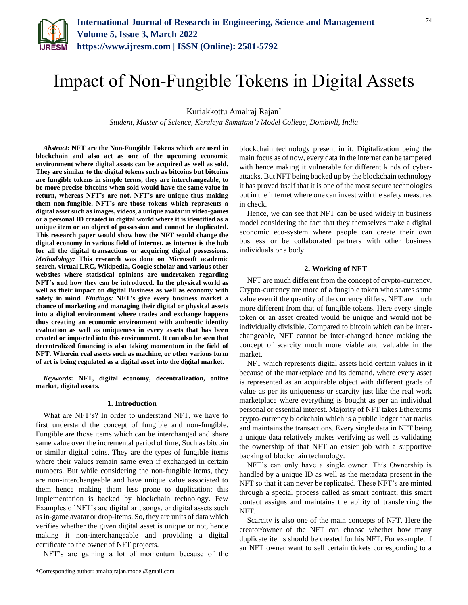

# Impact of Non-Fungible Tokens in Digital Assets

Kuriakkottu Amalraj Rajan\*

*Student, Master of Science, Keraleya Samajam's Model College, Dombivli, India*

*Abstract***: NFT are the Non-Fungible Tokens which are used in blockchain and also act as one of the upcoming economic environment where digital assets can be acquired as well as sold. They are similar to the digital tokens such as bitcoins but bitcoins are fungible tokens in simple terms, they are interchangeable, to be more precise bitcoins when sold would have the same value in return, whereas NFT's are not. NFT's are unique thus making them non-fungible. NFT's are those tokens which represents a digital asset such as images, videos, a unique avatar in video-games or a personal ID created in digital world where it is identified as a unique item or an object of possession and cannot be duplicated. This research paper would show how the NFT would change the digital economy in various field of internet, as internet is the hub for all the digital transactions or acquiring digital possessions.**  *Methodology:* **This research was done on Microsoft academic search, virtual LRC, Wikipedia, Google scholar and various other websites where statistical opinions are undertaken regarding NFT's and how they can be introduced. In the physical world as well as their impact on digital Business as well as economy with safety in mind.** *Findings:* **NFT's give every business market a chance of marketing and managing their digital or physical assets into a digital environment where trades and exchange happens thus creating an economic environment with authentic identity evaluation as well as uniqueness in every assets that has been created or imported into this environment. It can also be seen that decentralized financing is also taking momentum in the field of NFT. Wherein real assets such as machine, or other various form of art is being regulated as a digital asset into the digital market.** 

*Keywords***: NFT, digital economy, decentralization, online market, digital assets.**

# **1. Introduction**

What are NFT's? In order to understand NFT, we have to first understand the concept of fungible and non-fungible. Fungible are those items which can be interchanged and share same value over the incremental period of time, Such as bitcoin or similar digital coins. They are the types of fungible items where their values remain same even if exchanged in certain numbers. But while considering the non-fungible items, they are non-interchangeable and have unique value associated to them hence making them less prone to duplication; this implementation is backed by blockchain technology. Few Examples of NFT's are digital art, songs, or digital assets such as in-game avatar or drop-items. So, they are units of data which verifies whether the given digital asset is unique or not, hence making it non-interchangeable and providing a digital certificate to the owner of NFT projects.

NFT's are gaining a lot of momentum because of the

blockchain technology present in it. Digitalization being the main focus as of now, every data in the internet can be tampered with hence making it vulnerable for different kinds of cyberattacks. But NFT being backed up by the blockchain technology it has proved itself that it is one of the most secure technologies out in the internet where one can invest with the safety measures in check.

Hence, we can see that NFT can be used widely in business model considering the fact that they themselves make a digital economic eco-system where people can create their own business or be collaborated partners with other business individuals or a body.

## **2. Working of NFT**

NFT are much different from the concept of crypto-currency. Crypto-currency are more of a fungible token who shares same value even if the quantity of the currency differs. NFT are much more different from that of fungible tokens. Here every single token or an asset created would be unique and would not be individually divisible. Compared to bitcoin which can be interchangeable, NFT cannot be inter-changed hence making the concept of scarcity much more viable and valuable in the market.

NFT which represents digital assets hold certain values in it because of the marketplace and its demand, where every asset is represented as an acquirable object with different grade of value as per its uniqueness or scarcity just like the real work marketplace where everything is bought as per an individual personal or essential interest. Majority of NFT takes Ethereums crypto-currency blockchain which is a public ledger that tracks and maintains the transactions. Every single data in NFT being a unique data relatively makes verifying as well as validating the ownership of that NFT an easier job with a supportive backing of blockchain technology.

NFT's can only have a single owner. This Ownership is handled by a unique ID as well as the metadata present in the NFT so that it can never be replicated. These NFT's are minted through a special process called as smart contract; this smart contact assigns and maintains the ability of transferring the NFT.

Scarcity is also one of the main concepts of NFT. Here the creator/owner of the NFT can choose whether how many duplicate items should be created for his NFT. For example, if an NFT owner want to sell certain tickets corresponding to a

<sup>\*</sup>Corresponding author: amalrajrajan.model@gmail.com